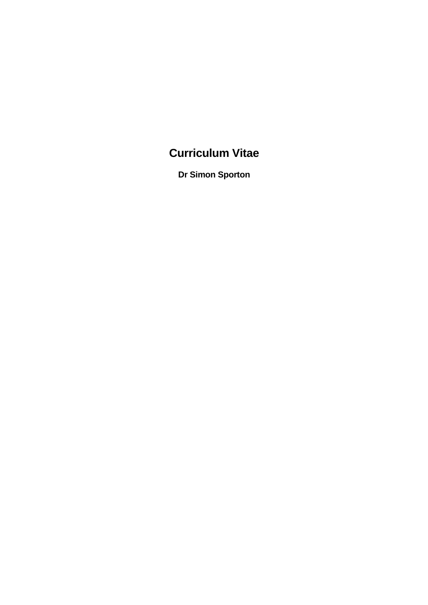# **Curriculum Vitae**

**Dr Simon Sporton**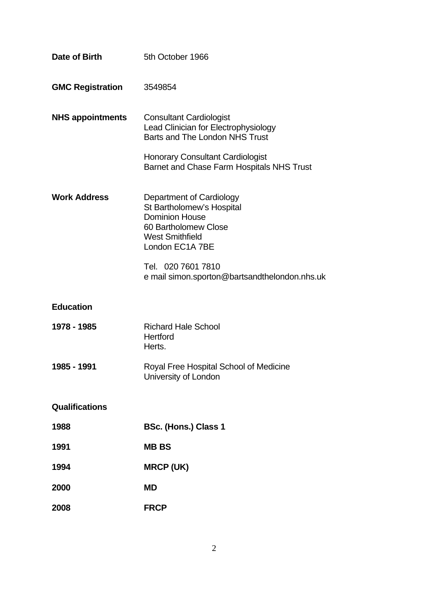| Date of Birth           | 5th October 1966                                                                                                                                    |
|-------------------------|-----------------------------------------------------------------------------------------------------------------------------------------------------|
| <b>GMC Registration</b> | 3549854                                                                                                                                             |
| <b>NHS appointments</b> | <b>Consultant Cardiologist</b><br>Lead Clinician for Electrophysiology<br>Barts and The London NHS Trust                                            |
|                         | <b>Honorary Consultant Cardiologist</b><br>Barnet and Chase Farm Hospitals NHS Trust                                                                |
| <b>Work Address</b>     | Department of Cardiology<br>St Bartholomew's Hospital<br><b>Dominion House</b><br>60 Bartholomew Close<br><b>West Smithfield</b><br>London EC1A 7BE |
|                         | Tel. 020 7601 7810<br>e mail simon.sporton@bartsandthelondon.nhs.uk                                                                                 |
| <b>Education</b>        |                                                                                                                                                     |
| 1978 - 1985             | <b>Richard Hale School</b><br>Hertford<br>Herts.                                                                                                    |
| 1985 - 1991             | Royal Free Hospital School of Medicine<br>University of London                                                                                      |
| Qualifications          |                                                                                                                                                     |
| 1988                    | <b>BSc. (Hons.) Class 1</b>                                                                                                                         |
| 1991                    | <b>MBBS</b>                                                                                                                                         |
| 1994                    | <b>MRCP (UK)</b>                                                                                                                                    |
| 2000                    | <b>MD</b>                                                                                                                                           |
| 2008                    | <b>FRCP</b>                                                                                                                                         |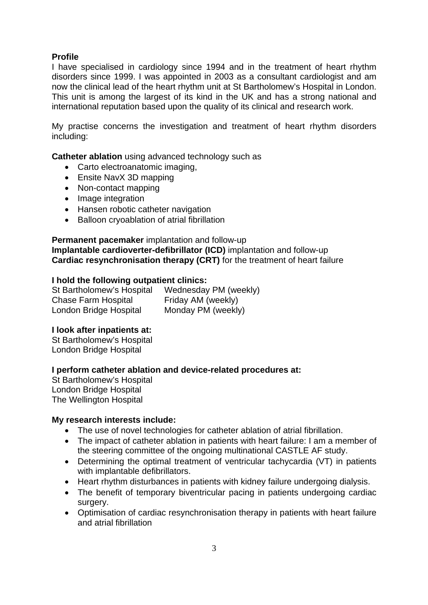## **Profile**

I have specialised in cardiology since 1994 and in the treatment of heart rhythm disorders since 1999. I was appointed in 2003 as a consultant cardiologist and am now the clinical lead of the heart rhythm unit at St Bartholomew's Hospital in London. This unit is among the largest of its kind in the UK and has a strong national and international reputation based upon the quality of its clinical and research work.

My practise concerns the investigation and treatment of heart rhythm disorders including:

**Catheter ablation** using advanced technology such as

- Carto electroanatomic imaging.
- Ensite NavX 3D mapping
- Non-contact mapping
- Image integration
- Hansen robotic catheter navigation
- Balloon cryoablation of atrial fibrillation

**Permanent pacemaker** implantation and follow-up **Implantable cardioverter-defibrillator (ICD)** implantation and follow-up **Cardiac resynchronisation therapy (CRT)** for the treatment of heart failure

#### **I hold the following outpatient clinics:**

St Bartholomew's Hospital Wednesday PM (weekly) Chase Farm Hospital Friday AM (weekly) London Bridge Hospital Monday PM (weekly)

## **I look after inpatients at:**

St Bartholomew's Hospital London Bridge Hospital

## **I perform catheter ablation and device-related procedures at:**

St Bartholomew's Hospital London Bridge Hospital The Wellington Hospital

#### **My research interests include:**

- The use of novel technologies for catheter ablation of atrial fibrillation.
- The impact of catheter ablation in patients with heart failure: I am a member of the steering committee of the ongoing multinational CASTLE AF study.
- Determining the optimal treatment of ventricular tachycardia (VT) in patients with implantable defibrillators.
- Heart rhythm disturbances in patients with kidney failure undergoing dialysis.
- The benefit of temporary biventricular pacing in patients undergoing cardiac surgery.
- Optimisation of cardiac resynchronisation therapy in patients with heart failure and atrial fibrillation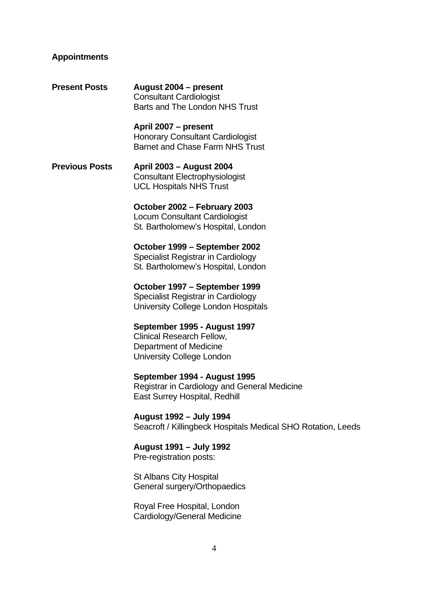## **Appointments**

| <b>Present Posts</b>  | August 2004 - present<br><b>Consultant Cardiologist</b><br><b>Barts and The London NHS Trust</b>                        |
|-----------------------|-------------------------------------------------------------------------------------------------------------------------|
|                       | April 2007 - present<br><b>Honorary Consultant Cardiologist</b><br><b>Barnet and Chase Farm NHS Trust</b>               |
| <b>Previous Posts</b> | April 2003 - August 2004<br><b>Consultant Electrophysiologist</b><br><b>UCL Hospitals NHS Trust</b>                     |
|                       | October 2002 – February 2003<br><b>Locum Consultant Cardiologist</b><br>St. Bartholomew's Hospital, London              |
|                       | October 1999 – September 2002<br><b>Specialist Registrar in Cardiology</b><br>St. Bartholomew's Hospital, London        |
|                       | October 1997 – September 1999<br>Specialist Registrar in Cardiology<br>University College London Hospitals              |
|                       | September 1995 - August 1997<br>Clinical Research Fellow,<br>Department of Medicine<br><b>University College London</b> |
|                       | September 1994 - August 1995<br>Registrar in Cardiology and General Medicine<br><b>East Surrey Hospital, Redhill</b>    |
|                       | August 1992 – July 1994<br>Seacroft / Killingbeck Hospitals Medical SHO Rotation, Leeds                                 |
|                       | August 1991 - July 1992<br>Pre-registration posts:                                                                      |
|                       | <b>St Albans City Hospital</b><br>General surgery/Orthopaedics                                                          |
|                       | Royal Free Hospital, London                                                                                             |

**Cardiology/General Medicine**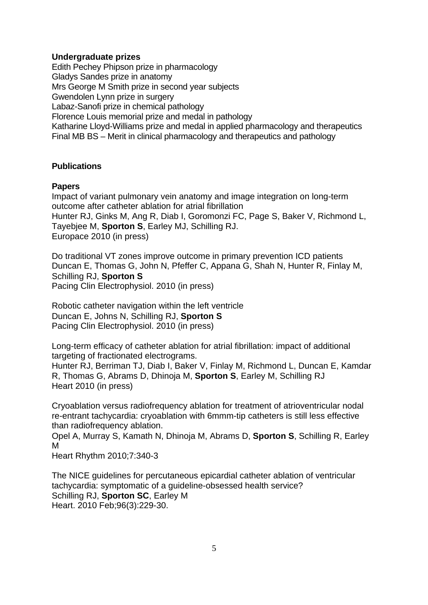#### **Undergraduate prizes**

Edith Pechey Phipson prize in pharmacology Gladys Sandes prize in anatomy Mrs George M Smith prize in second year subjects Gwendolen Lynn prize in surgery Labaz-Sanofi prize in chemical pathology Florence Louis memorial prize and medal in pathology Katharine Lloyd-Williams prize and medal in applied pharmacology and therapeutics Final MB BS – Merit in clinical pharmacology and therapeutics and pathology

## **Publications**

#### **Papers**

Impact of variant pulmonary vein anatomy and image integration on long-term outcome after catheter ablation for atrial fibrillation Hunter RJ, Ginks M, Ang R, Diab I, Goromonzi FC, Page S, Baker V, Richmond L, Tayebjee M, **Sporton S**, Earley MJ, Schilling RJ. Europace 2010 (in press)

Do traditional VT zones improve outcome in primary prevention ICD patients Duncan E, Thomas G, John N, Pfeffer C, Appana G, Shah N, Hunter R, Finlay M, Schilling RJ, **Sporton S** Pacing Clin Electrophysiol. 2010 (in press)

Robotic catheter navigation within the left ventricle Duncan E, Johns N, Schilling RJ, **Sporton S** Pacing Clin Electrophysiol. 2010 (in press)

Long-term efficacy of catheter ablation for atrial fibrillation: impact of additional targeting of fractionated electrograms.

Hunter RJ, Berriman TJ, Diab I, Baker V, Finlay M, Richmond L, Duncan E, Kamdar R, Thomas G, Abrams D, Dhinoja M, **Sporton S**, Earley M, Schilling RJ Heart 2010 (in press)

Cryoablation versus radiofrequency ablation for treatment of atrioventricular nodal re-entrant tachycardia: cryoablation with 6mmm-tip catheters is still less effective than radiofrequency ablation.

Opel A, Murray S, Kamath N, Dhinoja M, Abrams D, **Sporton S**, Schilling R, Earley M

Heart Rhythm 2010;7:340-3

The NICE guidelines for percutaneous epicardial catheter ablation of ventricular tachycardia: symptomatic of a guideline-obsessed health service? Schilling RJ, **Sporton SC**, Earley M Heart. 2010 Feb;96(3):229-30.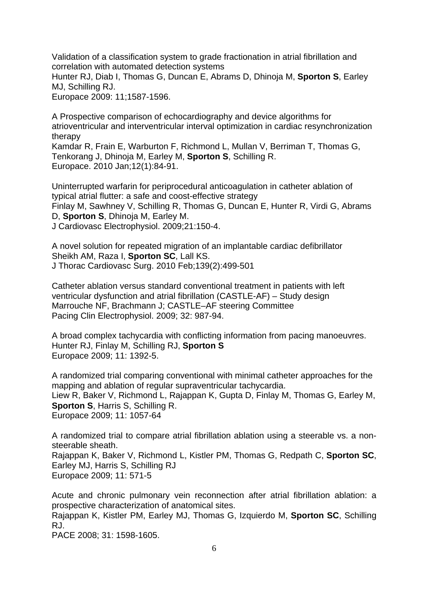Validation of a classification system to grade fractionation in atrial fibrillation and correlation with automated detection systems

Hunter RJ, Diab I, Thomas G, Duncan E, Abrams D, Dhinoja M, **Sporton S**, Earley MJ, Schilling RJ.

Europace 2009: 11;1587-1596.

A Prospective comparison of echocardiography and device algorithms for atrioventricular and interventricular interval optimization in cardiac resynchronization therapy

Kamdar R, Frain E, Warburton F, Richmond L, Mullan V, Berriman T, Thomas G, Tenkorang J, Dhinoja M, Earley M, **Sporton S**, Schilling R. Europace. 2010 Jan;12(1):84-91.

Uninterrupted warfarin for periprocedural anticoagulation in catheter ablation of typical atrial flutter: a safe and coost-effective strategy Finlay M, Sawhney V, Schilling R, Thomas G, Duncan E, Hunter R, Virdi G, Abrams D, **Sporton S**, Dhinoja M, Earley M.

J Cardiovasc Electrophysiol. 2009;21:150-4.

A novel solution for repeated migration of an implantable cardiac defibrillator Sheikh AM, Raza I, **Sporton SC**, Lall KS. J Thorac Cardiovasc Surg. 2010 Feb;139(2):499-501

Catheter ablation versus standard conventional treatment in patients with left ventricular dysfunction and atrial fibrillation (CASTLE-AF) – Study design Marrouche NF, Brachmann J; CASTLE–AF steering Committee Pacing Clin Electrophysiol. 2009; 32: 987-94.

A broad complex tachycardia with conflicting information from pacing manoeuvres. Hunter RJ, Finlay M, Schilling RJ, **Sporton S** Europace 2009; 11: 1392-5.

A randomized trial comparing conventional with minimal catheter approaches for the mapping and ablation of regular supraventricular tachycardia. Liew R, Baker V, Richmond L, Rajappan K, Gupta D, Finlay M, Thomas G, Earley M, **Sporton S**, Harris S, Schilling R. Europace 2009; 11: 1057-64

A randomized trial to compare atrial fibrillation ablation using a steerable vs. a nonsteerable sheath.

Rajappan K, Baker V, Richmond L, Kistler PM, Thomas G, Redpath C, **Sporton SC**, Earley MJ, Harris S, Schilling RJ Europace 2009; 11: 571-5

Acute and chronic pulmonary vein reconnection after atrial fibrillation ablation: a prospective characterization of anatomical sites.

Rajappan K, Kistler PM, Earley MJ, Thomas G, Izquierdo M, **Sporton SC**, Schilling RJ.

PACE 2008; 31: 1598-1605.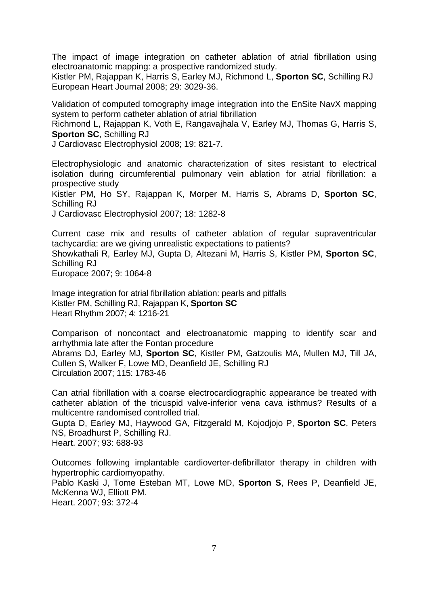The impact of image integration on catheter ablation of atrial fibrillation using electroanatomic mapping: a prospective randomized study.

Kistler PM, Rajappan K, Harris S, Earley MJ, Richmond L, **Sporton SC**, Schilling RJ European Heart Journal 2008; 29: 3029-36.

Validation of computed tomography image integration into the EnSite NavX mapping system to perform catheter ablation of atrial fibrillation

Richmond L, Rajappan K, Voth E, Rangavajhala V, Earley MJ, Thomas G, Harris S, **Sporton SC**, Schilling RJ

J Cardiovasc Electrophysiol 2008; 19: 821-7.

Electrophysiologic and anatomic characterization of sites resistant to electrical isolation during circumferential pulmonary vein ablation for atrial fibrillation: a prospective study

Kistler PM, Ho SY, Rajappan K, Morper M, Harris S, Abrams D, **Sporton SC**, Schilling RJ

J Cardiovasc Electrophysiol 2007; 18: 1282-8

Current case mix and results of catheter ablation of regular supraventricular tachycardia: are we giving unrealistic expectations to patients? Showkathali R, Earley MJ, Gupta D, Altezani M, Harris S, Kistler PM, **Sporton SC**, Schilling RJ Europace 2007; 9: 1064-8

Image integration for atrial fibrillation ablation: pearls and pitfalls Kistler PM, Schilling RJ, Rajappan K, **Sporton SC** Heart Rhythm 2007; 4: 1216-21

Comparison of noncontact and electroanatomic mapping to identify scar and arrhythmia late after the Fontan procedure Abrams DJ, Earley MJ, **Sporton SC**, Kistler PM, Gatzoulis MA, Mullen MJ, Till JA,

Cullen S, Walker F, Lowe MD, Deanfield JE, Schilling RJ Circulation 2007; 115: 1783-46

Can atrial fibrillation with a coarse electrocardiographic appearance be treated with catheter ablation of the tricuspid valve-inferior vena cava isthmus? Results of a multicentre randomised controlled trial.

Gupta D, Earley MJ, Haywood GA, Fitzgerald M, Kojodjojo P, **Sporton SC**, Peters NS, Broadhurst P, Schilling RJ.

Heart. 2007; 93: 688-93

Outcomes following implantable cardioverter-defibrillator therapy in children with hypertrophic cardiomyopathy.

Pablo Kaski J, Tome Esteban MT, Lowe MD, **Sporton S**, Rees P, Deanfield JE, McKenna WJ, Elliott PM.

Heart. 2007; 93: 372-4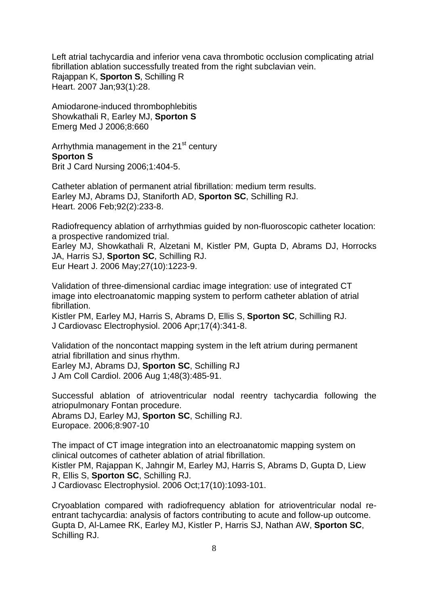Left atrial tachycardia and inferior vena cava thrombotic occlusion complicating atrial fibrillation ablation successfully treated from the right subclavian vein. Rajappan K, **Sporton S**, Schilling R Heart. 2007 Jan;93(1):28.

Amiodarone-induced thrombophlebitis Showkathali R, Earley MJ, **Sporton S** Emerg Med J 2006;8:660

Arrhythmia management in the 21<sup>st</sup> century **Sporton S**  Brit J Card Nursing 2006;1:404-5.

Catheter ablation of permanent atrial fibrillation: medium term results. [Earley MJ, Abrams DJ, Staniforth AD,](http://www.ncbi.nlm.nih.gov/entrez/query.fcgi?cmd=Retrieve&db=pubmed&dopt=Abstract&list_uids=16118239&query_hl=1&itool=pubmed_docsum) **Sporton SC**, Schilling RJ. Heart. 2006 Feb;92(2):233-8.

Radiofrequency ablation of arrhythmias guided by non-fluoroscopic catheter location: a prospective randomized trial.

[Earley MJ, Showkathali R, Alzetani M, Kistler PM, Gupta D, Abrams DJ, Horrocks](http://www.ncbi.nlm.nih.gov/entrez/query.fcgi?cmd=Retrieve&db=pubmed&dopt=Abstract&list_uids=16613932&query_hl=1&itool=pubmed_docsum)  [JA, Harris SJ,](http://www.ncbi.nlm.nih.gov/entrez/query.fcgi?cmd=Retrieve&db=pubmed&dopt=Abstract&list_uids=16613932&query_hl=1&itool=pubmed_docsum) **Sporton SC**, Schilling RJ. Eur Heart J. 2006 May;27(10):1223-9.

Validation of three-dimensional cardiac image integration: use of integrated CT image into electroanatomic mapping system to perform catheter ablation of atrial fibrillation.

[Kistler PM, Earley MJ, Harris S, Abrams D, Ellis S,](http://www.ncbi.nlm.nih.gov/entrez/query.fcgi?cmd=Retrieve&db=pubmed&dopt=Abstract&list_uids=16643352&query_hl=1&itool=pubmed_docsum) **Sporton SC**, Schilling RJ. J Cardiovasc Electrophysiol. 2006 Apr;17(4):341-8.

Validation of the noncontact mapping system in the left atrium during permanent atrial fibrillation and sinus rhythm. Earley MJ, Abrams DJ, **Sporton SC**, Schilling RJ

J Am Coll Cardiol. 2006 Aug 1;48(3):485-91.

Successful ablation of atrioventricular nodal reentry tachycardia following the atriopulmonary Fontan procedure.

[Abrams DJ, Earley MJ,](http://www.ncbi.nlm.nih.gov/entrez/query.fcgi?db=pubmed&cmd=Retrieve&dopt=AbstractPlus&list_uids=16916858&query_hl=1&itool=pubmed_docsum) **Sporton SC**, Schilling RJ. Europace. 2006;8:907-10

The impact of CT image integration into an electroanatomic mapping system on clinical outcomes of catheter ablation of atrial fibrillation. [Kistler PM, Rajappan K, Jahngir M, Earley MJ, Harris S, Abrams D, Gupta D, Liew](http://www.ncbi.nlm.nih.gov/entrez/query.fcgi?db=pubmed&cmd=Retrieve&dopt=AbstractPlus&list_uids=16989651&query_hl=1&itool=pubmed_docsum)  R, Ellis S, **Sporton SC**[, Schilling RJ.](http://www.ncbi.nlm.nih.gov/entrez/query.fcgi?db=pubmed&cmd=Retrieve&dopt=AbstractPlus&list_uids=16989651&query_hl=1&itool=pubmed_docsum) J Cardiovasc Electrophysiol. 2006 Oct;17(10):1093-101.

Cryoablation compared with radiofrequency ablation for atrioventricular nodal reentrant tachycardia: analysis of factors contributing to acute and follow-up outcome. [Gupta D, Al-Lamee RK, Earley MJ, Kistler P, Harris SJ, Nathan AW,](http://www.ncbi.nlm.nih.gov/entrez/query.fcgi?db=pubmed&cmd=Retrieve&dopt=AbstractPlus&list_uids=17101629&query_hl=1&itool=pubmed_docsum) **Sporton SC**, [Schilling RJ.](http://www.ncbi.nlm.nih.gov/entrez/query.fcgi?db=pubmed&cmd=Retrieve&dopt=AbstractPlus&list_uids=17101629&query_hl=1&itool=pubmed_docsum)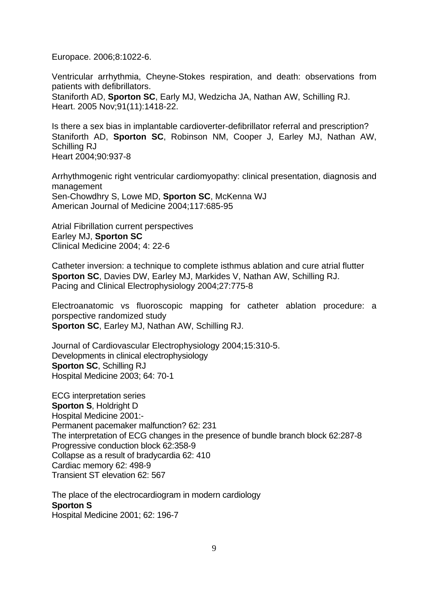Europace. 2006;8:1022-6.

Ventricular arrhythmia, Cheyne-Stokes respiration, and death: observations from patients with defibrillators. Staniforth AD, **Sporton SC**[, Early MJ, Wedzicha JA, Nathan AW, Schilling RJ.](http://www.ncbi.nlm.nih.gov/entrez/query.fcgi?cmd=Retrieve&db=pubmed&dopt=Abstract&list_uids=15814597&query_hl=1&itool=pubmed_docsum)  Heart. 2005 Nov;91(11):1418-22.

Is there a sex bias in implantable cardioverter-defibrillator referral and prescription? Staniforth AD, **Sporton SC**, Robinson NM, Cooper J, Earley MJ, Nathan AW, Schilling RJ Heart 2004;90:937-8

Arrhythmogenic right ventricular cardiomyopathy: clinical presentation, diagnosis and management Sen-Chowdhry S, Lowe MD, **Sporton SC**, McKenna WJ American Journal of Medicine 2004;117:685-95

Atrial Fibrillation current perspectives Earley MJ, **Sporton SC** Clinical Medicine 2004; 4: 22-6

Catheter inversion: a technique to complete isthmus ablation and cure atrial flutter **Sporton SC**, Davies DW, Earley MJ, Markides V, Nathan AW, Schilling RJ. Pacing and Clinical Electrophysiology 2004;27:775-8

Electroanatomic vs fluoroscopic mapping for catheter ablation procedure: a porspective randomized study **Sporton SC**, Earley MJ, Nathan AW, Schilling RJ.

Journal of Cardiovascular Electrophysiology 2004;15:310-5. Developments in clinical electrophysiology **Sporton SC**, Schilling RJ Hospital Medicine 2003; 64: 70-1

ECG interpretation series **Sporton S. Holdright D.** Hospital Medicine 2001:- Permanent pacemaker malfunction? 62: 231 The interpretation of ECG changes in the presence of bundle branch block 62:287-8 Progressive conduction block 62:358-9 Collapse as a result of bradycardia 62: 410 Cardiac memory 62: 498-9 Transient ST elevation 62: 567

The place of the electrocardiogram in modern cardiology **Sporton S**  Hospital Medicine 2001; 62: 196-7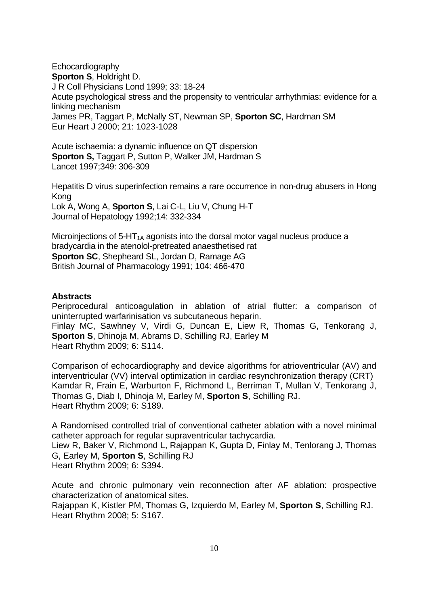Echocardiography **Sporton S**, Holdright D. J R Coll Physicians Lond 1999; 33: 18-24 Acute psychological stress and the propensity to ventricular arrhythmias: evidence for a linking mechanism James PR, Taggart P, McNally ST, Newman SP, **Sporton SC**, Hardman SM Eur Heart J 2000; 21: 1023-1028

Acute ischaemia: a dynamic influence on QT dispersion **Sporton S,** Taggart P, Sutton P, Walker JM, Hardman S Lancet 1997;349: 306-309

Hepatitis D virus superinfection remains a rare occurrence in non-drug abusers in Hong Kong Lok A, Wong A, **Sporton S**, Lai C-L, Liu V, Chung H-T Journal of Hepatology 1992;14: 332-334

Microinjections of  $5-HT_{1A}$  agonists into the dorsal motor vagal nucleus produce a bradycardia in the atenolol-pretreated anaesthetised rat **Sporton SC**, Shepheard SL, Jordan D, Ramage AG British Journal of Pharmacology 1991; 104: 466-470

#### **Abstracts**

Periprocedural anticoagulation in ablation of atrial flutter: a comparison of uninterrupted warfarinisation vs subcutaneous heparin. Finlay MC, Sawhney V, Virdi G, Duncan E, Liew R, Thomas G, Tenkorang J, **Sporton S**, Dhinoja M, Abrams D, Schilling RJ, Earley M Heart Rhythm 2009; 6: S114.

Comparison of echocardiography and device algorithms for atrioventricular (AV) and interventricular (VV) interval optimization in cardiac resynchronization therapy (CRT) Kamdar R, Frain E, Warburton F, Richmond L, Berriman T, Mullan V, Tenkorang J, Thomas G, Diab I, Dhinoja M, Earley M, **Sporton S**, Schilling RJ. Heart Rhythm 2009; 6: S189.

A Randomised controlled trial of conventional catheter ablation with a novel minimal catheter approach for regular supraventricular tachycardia. Liew R, Baker V, Richmond L, Rajappan K, Gupta D, Finlay M, Tenlorang J, Thomas G, Earley M, **Sporton S**, Schilling RJ Heart Rhythm 2009; 6: S394.

Acute and chronic pulmonary vein reconnection after AF ablation: prospective characterization of anatomical sites.

Rajappan K, Kistler PM, Thomas G, Izquierdo M, Earley M, **Sporton S**, Schilling RJ. Heart Rhythm 2008; 5: S167.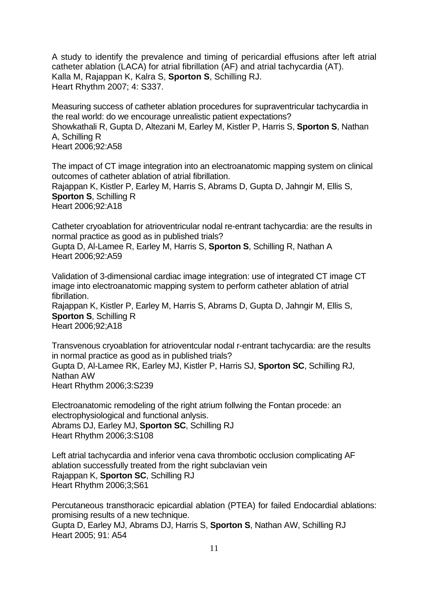A study to identify the prevalence and timing of pericardial effusions after left atrial catheter ablation (LACA) for atrial fibrillation (AF) and atrial tachycardia (AT). Kalla M, Rajappan K, Kalra S, **Sporton S**, Schilling RJ. Heart Rhythm 2007; 4: S337.

Measuring success of catheter ablation procedures for supraventricular tachycardia in the real world: do we encourage unrealistic patient expectations? Showkathali R, Gupta D, Altezani M, Earley M, Kistler P, Harris S, **Sporton S**, Nathan A, Schilling R Heart 2006;92:A58

The impact of CT image integration into an electroanatomic mapping system on clinical outcomes of catheter ablation of atrial fibrillation. Rajappan K, Kistler P, Earley M, Harris S, Abrams D, Gupta D, Jahngir M, Ellis S, **Sporton S**, Schilling R Heart 2006;92:A18

Catheter cryoablation for atrioventricular nodal re-entrant tachycardia: are the results in normal practice as good as in published trials? Gupta D, Al-Lamee R, Earley M, Harris S, **Sporton S**, Schilling R, Nathan A Heart 2006;92:A59

Validation of 3-dimensional cardiac image integration: use of integrated CT image CT image into electroanatomic mapping system to perform catheter ablation of atrial fibrillation.

Rajappan K, Kistler P, Earley M, Harris S, Abrams D, Gupta D, Jahngir M, Ellis S, **Sporton S**, Schilling R Heart 2006;92;A18

Transvenous cryoablation for atrioventcular nodal r-entrant tachycardia: are the results in normal practice as good as in published trials? Gupta D, Al-Lamee RK, Earley MJ, Kistler P, Harris SJ, **Sporton SC**, Schilling RJ, Nathan AW Heart Rhythm 2006;3:S239

Electroanatomic remodeling of the right atrium follwing the Fontan procede: an electrophysiological and functional anlysis. Abrams DJ, Earley MJ, **Sporton SC**, Schilling RJ Heart Rhythm 2006;3:S108

Left atrial tachycardia and inferior vena cava thrombotic occlusion complicating AF ablation successfully treated from the right subclavian vein Rajappan K, **Sporton SC**, Schilling RJ Heart Rhythm 2006;3;S61

Percutaneous transthoracic epicardial ablation (PTEA) for failed Endocardial ablations: promising results of a new technique. Gupta D, Earley MJ, Abrams DJ, Harris S, **Sporton S**, Nathan AW, Schilling RJ Heart 2005; 91: A54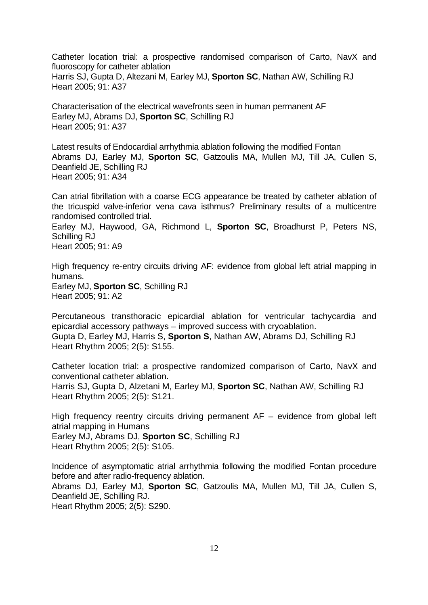Catheter location trial: a prospective randomised comparison of Carto, NavX and fluoroscopy for catheter ablation Harris SJ, Gupta D, Altezani M, Earley MJ, **Sporton SC**, Nathan AW, Schilling RJ Heart 2005; 91: A37

Characterisation of the electrical wavefronts seen in human permanent AF Earley MJ, Abrams DJ, **Sporton SC**, Schilling RJ Heart 2005; 91: A37

Latest results of Endocardial arrhythmia ablation following the modified Fontan Abrams DJ, Earley MJ, **Sporton SC**, Gatzoulis MA, Mullen MJ, Till JA, Cullen S, Deanfield JE, Schilling RJ Heart 2005; 91: A34

Can atrial fibrillation with a coarse ECG appearance be treated by catheter ablation of the tricuspid valve-inferior vena cava isthmus? Preliminary results of a multicentre randomised controlled trial.

Earley MJ, Haywood, GA, Richmond L, **Sporton SC**, Broadhurst P, Peters NS, Schilling RJ

Heart 2005; 91: A9

High frequency re-entry circuits driving AF: evidence from global left atrial mapping in humans.

Earley MJ, **Sporton SC**, Schilling RJ Heart 2005; 91: A2

Percutaneous transthoracic epicardial ablation for ventricular tachycardia and epicardial accessory pathways – improved success with cryoablation. Gupta D, Earley MJ, Harris S, **Sporton S**, Nathan AW, Abrams DJ, Schilling RJ Heart Rhythm 2005; 2(5): S155.

Catheter location trial: a prospective randomized comparison of Carto, NavX and conventional catheter ablation.

Harris SJ, Gupta D, Alzetani M, Earley MJ, **Sporton SC**, Nathan AW, Schilling RJ Heart Rhythm 2005; 2(5): S121.

High frequency reentry circuits driving permanent  $AF -$  evidence from global left atrial mapping in Humans

Earley MJ, Abrams DJ, **Sporton SC**, Schilling RJ Heart Rhythm 2005; 2(5): S105.

Incidence of asymptomatic atrial arrhythmia following the modified Fontan procedure before and after radio-frequency ablation.

Abrams DJ, Earley MJ, **Sporton SC**, Gatzoulis MA, Mullen MJ, Till JA, Cullen S, Deanfield JE, Schilling RJ.

Heart Rhythm 2005; 2(5): S290.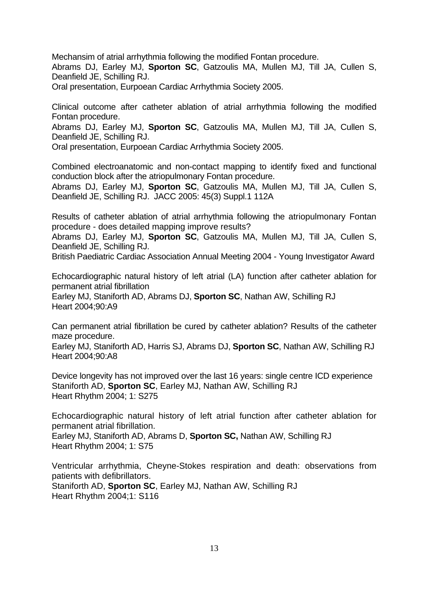Mechansim of atrial arrhythmia following the modified Fontan procedure.

Abrams DJ, Earley MJ, **Sporton SC**, Gatzoulis MA, Mullen MJ, Till JA, Cullen S, Deanfield JE, Schilling RJ.

Oral presentation, Eurpoean Cardiac Arrhythmia Society 2005.

Clinical outcome after catheter ablation of atrial arrhythmia following the modified Fontan procedure.

Abrams DJ, Earley MJ, **Sporton SC**, Gatzoulis MA, Mullen MJ, Till JA, Cullen S, Deanfield JE, Schilling RJ.

Oral presentation, Eurpoean Cardiac Arrhythmia Society 2005.

Combined electroanatomic and non-contact mapping to identify fixed and functional conduction block after the atriopulmonary Fontan procedure.

Abrams DJ, Earley MJ, **Sporton SC**, Gatzoulis MA, Mullen MJ, Till JA, Cullen S, Deanfield JE, Schilling RJ. JACC 2005: 45(3) Suppl.1 112A

Results of catheter ablation of atrial arrhythmia following the atriopulmonary Fontan procedure - does detailed mapping improve results?

Abrams DJ, Earley MJ, **Sporton SC**, Gatzoulis MA, Mullen MJ, Till JA, Cullen S, Deanfield JE, Schilling RJ.

British Paediatric Cardiac Association Annual Meeting 2004 - Young Investigator Award

Echocardiographic natural history of left atrial (LA) function after catheter ablation for permanent atrial fibrillation

Earley MJ, Staniforth AD, Abrams DJ, **Sporton SC**, Nathan AW, Schilling RJ Heart 2004;90:A9

Can permanent atrial fibrillation be cured by catheter ablation? Results of the catheter maze procedure.

Earley MJ, Staniforth AD, Harris SJ, Abrams DJ, **Sporton SC**, Nathan AW, Schilling RJ Heart 2004;90:A8

Device longevity has not improved over the last 16 years: single centre ICD experience Staniforth AD, **Sporton SC**, Earley MJ, Nathan AW, Schilling RJ Heart Rhythm 2004; 1: S275

Echocardiographic natural history of left atrial function after catheter ablation for permanent atrial fibrillation.

Earley MJ, Staniforth AD, Abrams D, **Sporton SC,** Nathan AW, Schilling RJ Heart Rhythm 2004; 1: S75

Ventricular arrhythmia, Cheyne-Stokes respiration and death: observations from patients with defibrillators. Staniforth AD, **Sporton SC**, Earley MJ, Nathan AW, Schilling RJ Heart Rhythm 2004;1: S116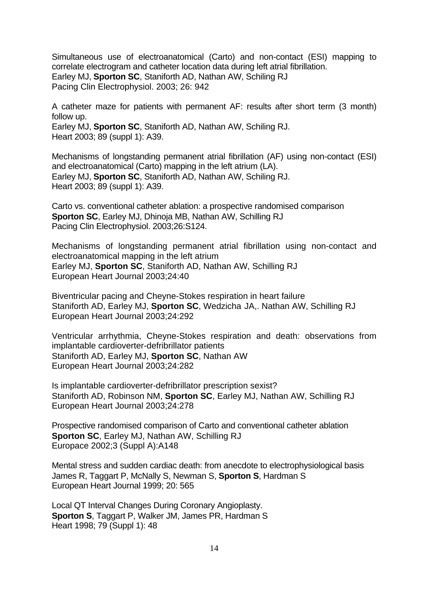Simultaneous use of electroanatomical (Carto) and non-contact (ESI) mapping to correlate electrogram and catheter location data during left atrial fibrillation. Earley MJ, **Sporton SC**, Staniforth AD, Nathan AW, Schiling RJ Pacing Clin Electrophysiol. 2003; 26: 942

A catheter maze for patients with permanent AF: results after short term (3 month) follow up.

Earley MJ, **Sporton SC**, Staniforth AD, Nathan AW, Schiling RJ. Heart 2003; 89 (suppl 1): A39.

Mechanisms of longstanding permanent atrial fibrillation (AF) using non-contact (ESI) and electroanatomical (Carto) mapping in the left atrium (LA). Earley MJ, **Sporton SC**, Staniforth AD, Nathan AW, Schiling RJ. Heart 2003; 89 (suppl 1): A39.

Carto vs. conventional catheter ablation: a prospective randomised comparison **Sporton SC**, Earley MJ, Dhinoja MB, Nathan AW, Schilling RJ Pacing Clin Electrophysiol. 2003;26:S124.

Mechanisms of longstanding permanent atrial fibrillation using non-contact and electroanatomical mapping in the left atrium Earley MJ, **Sporton SC**, Staniforth AD, Nathan AW, Schilling RJ European Heart Journal 2003;24:40

Biventricular pacing and Cheyne-Stokes respiration in heart failure Staniforth AD, Earley MJ, **Sporton SC**, Wedzicha JA,. Nathan AW, Schilling RJ European Heart Journal 2003;24:292

Ventricular arrhythmia, Cheyne-Stokes respiration and death: observations from implantable cardioverter-defribrillator patients Staniforth AD, Earley MJ, **Sporton SC**, Nathan AW European Heart Journal 2003;24:282

Is implantable cardioverter-defribrillator prescription sexist? Staniforth AD, Robinson NM, **Sporton SC**, Earley MJ, Nathan AW, Schilling RJ European Heart Journal 2003;24:278

Prospective randomised comparison of Carto and conventional catheter ablation **Sporton SC**, Earley MJ, Nathan AW, Schilling RJ Europace 2002;3 (Suppl A):A148

Mental stress and sudden cardiac death: from anecdote to electrophysiological basis James R, Taggart P, McNally S, Newman S, **Sporton S**, Hardman S European Heart Journal 1999; 20: 565

Local QT Interval Changes During Coronary Angioplasty. **Sporton S**, Taggart P, Walker JM, James PR, Hardman S Heart 1998; 79 (Suppl 1): 48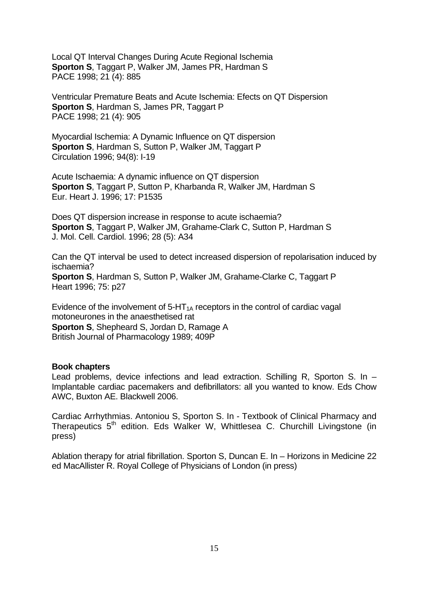Local QT Interval Changes During Acute Regional Ischemia **Sporton S**, Taggart P, Walker JM, James PR, Hardman S PACE 1998; 21 (4): 885

Ventricular Premature Beats and Acute Ischemia: Efects on QT Dispersion **Sporton S**, Hardman S, James PR, Taggart P PACE 1998; 21 (4): 905

Myocardial Ischemia: A Dynamic Influence on QT dispersion **Sporton S. Hardman S. Sutton P. Walker JM, Taggart P.** Circulation 1996; 94(8): I-19

Acute Ischaemia: A dynamic influence on QT dispersion **Sporton S**, Taggart P, Sutton P, Kharbanda R, Walker JM, Hardman S Eur. Heart J. 1996; 17: P1535

Does QT dispersion increase in response to acute ischaemia? **Sporton S**, Taggart P, Walker JM, Grahame-Clark C, Sutton P, Hardman S J. Mol. Cell. Cardiol. 1996; 28 (5): A34

Can the QT interval be used to detect increased dispersion of repolarisation induced by ischaemia? **Sporton S**, Hardman S, Sutton P, Walker JM, Grahame-Clarke C, Taggart P

Heart 1996; 75: p27

Evidence of the involvement of  $5-HT_{1A}$  receptors in the control of cardiac vagal motoneurones in the anaesthetised rat **Sporton S**, Shepheard S, Jordan D, Ramage A British Journal of Pharmacology 1989; 409P

#### **Book chapters**

Lead problems, device infections and lead extraction. Schilling R, Sporton S. In – Implantable cardiac pacemakers and defibrillators: all you wanted to know. Eds Chow AWC, Buxton AE. Blackwell 2006.

Cardiac Arrhythmias. Antoniou S, Sporton S. In - Textbook of Clinical Pharmacy and Therapeutics 5<sup>th</sup> edition. Eds Walker W, Whittlesea C. Churchill Livingstone (in press)

Ablation therapy for atrial fibrillation. Sporton S, Duncan E. In – Horizons in Medicine 22 ed MacAllister R. Royal College of Physicians of London (in press)